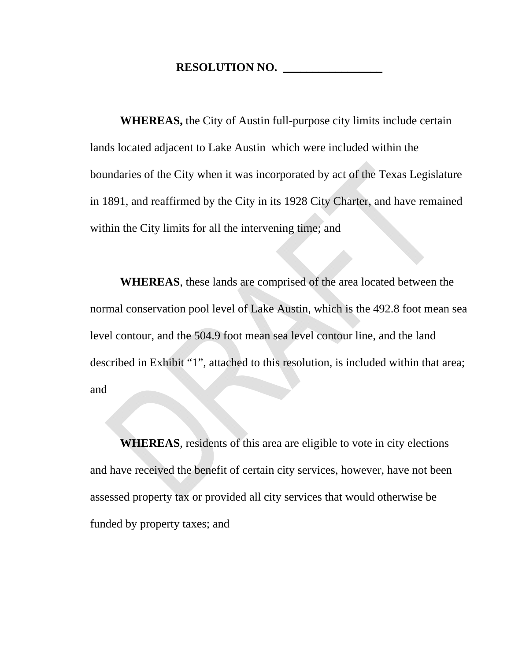## **RESOLUTION NO. \_\_\_\_\_\_\_\_\_\_\_\_\_\_\_\_\_**

**WHEREAS,** the City of Austin full-purpose city limits include certain lands located adjacent to Lake Austin which were included within the boundaries of the City when it was incorporated by act of the Texas Legislature in 1891, and reaffirmed by the City in its 1928 City Charter, and have remained within the City limits for all the intervening time; and

**WHEREAS**, these lands are comprised of the area located between the normal conservation pool level of Lake Austin, which is the 492.8 foot mean sea level contour, and the 504.9 foot mean sea level contour line, and the land described in Exhibit "1", attached to this resolution, is included within that area; and

**WHEREAS**, residents of this area are eligible to vote in city elections and have received the benefit of certain city services, however, have not been assessed property tax or provided all city services that would otherwise be funded by property taxes; and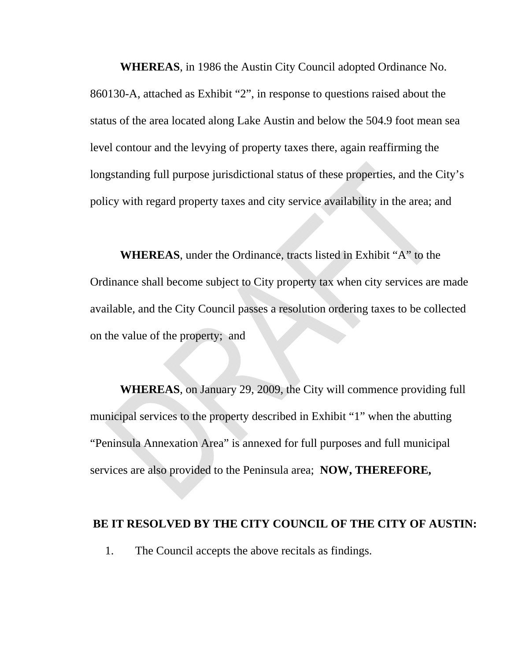**WHEREAS**, in 1986 the Austin City Council adopted Ordinance No. 860130-A, attached as Exhibit "2", in response to questions raised about the status of the area located along Lake Austin and below the 504.9 foot mean sea level contour and the levying of property taxes there, again reaffirming the longstanding full purpose jurisdictional status of these properties, and the City's policy with regard property taxes and city service availability in the area; and

**WHEREAS**, under the Ordinance, tracts listed in Exhibit "A" to the Ordinance shall become subject to City property tax when city services are made available, and the City Council passes a resolution ordering taxes to be collected on the value of the property; and

**WHEREAS**, on January 29, 2009, the City will commence providing full municipal services to the property described in Exhibit "1" when the abutting "Peninsula Annexation Area" is annexed for full purposes and full municipal services are also provided to the Peninsula area; **NOW, THEREFORE,** 

## **BE IT RESOLVED BY THE CITY COUNCIL OF THE CITY OF AUSTIN:**

1. The Council accepts the above recitals as findings.